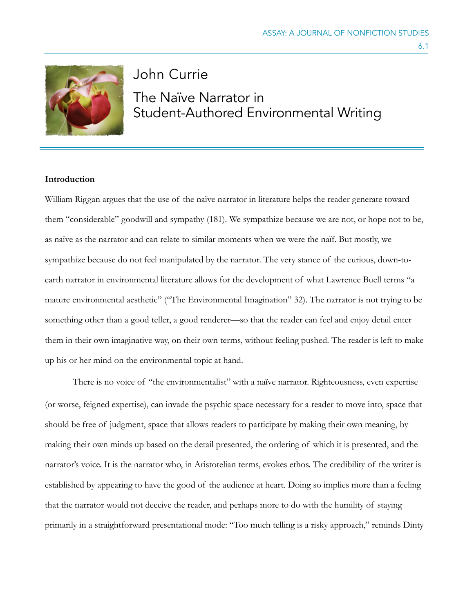

# John Currie The Naïve Narrator in Student-Authored Environmental Writing

## **Introduction**

William Riggan argues that the use of the naïve narrator in literature helps the reader generate toward them "considerable" goodwill and sympathy (181). We sympathize because we are not, or hope not to be, as naïve as the narrator and can relate to similar moments when we were the naïf. But mostly, we sympathize because do not feel manipulated by the narrator. The very stance of the curious, down-toearth narrator in environmental literature allows for the development of what Lawrence Buell terms "a mature environmental aesthetic" ("The Environmental Imagination" 32). The narrator is not trying to be something other than a good teller, a good renderer—so that the reader can feel and enjoy detail enter them in their own imaginative way, on their own terms, without feeling pushed. The reader is left to make up his or her mind on the environmental topic at hand.

There is no voice of "the environmentalist" with a naïve narrator. Righteousness, even expertise (or worse, feigned expertise), can invade the psychic space necessary for a reader to move into, space that should be free of judgment, space that allows readers to participate by making their own meaning, by making their own minds up based on the detail presented, the ordering of which it is presented, and the narrator's voice. It is the narrator who, in Aristotelian terms, evokes ethos. The credibility of the writer is established by appearing to have the good of the audience at heart. Doing so implies more than a feeling that the narrator would not deceive the reader, and perhaps more to do with the humility of staying primarily in a straightforward presentational mode: "Too much telling is a risky approach," reminds Dinty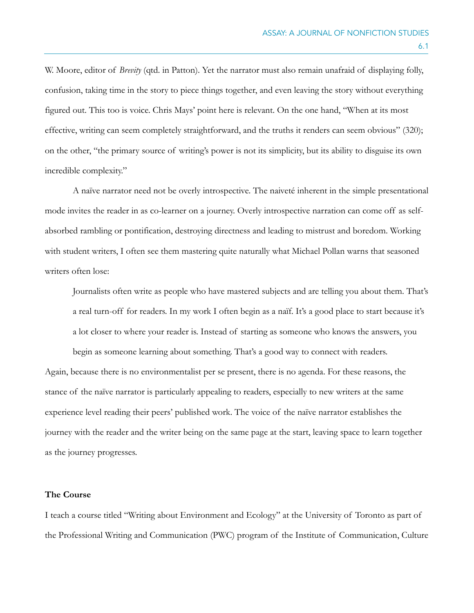W. Moore, editor of *Brevity* (qtd. in Patton). Yet the narrator must also remain unafraid of displaying folly, confusion, taking time in the story to piece things together, and even leaving the story without everything figured out. This too is voice. Chris Mays' point here is relevant. On the one hand, "When at its most effective, writing can seem completely straightforward, and the truths it renders can seem obvious" (320); on the other, "the primary source of writing's power is not its simplicity, but its ability to disguise its own incredible complexity."

A naïve narrator need not be overly introspective. The naiveté inherent in the simple presentational mode invites the reader in as co-learner on a journey. Overly introspective narration can come off as selfabsorbed rambling or pontification, destroying directness and leading to mistrust and boredom. Working with student writers, I often see them mastering quite naturally what Michael Pollan warns that seasoned writers often lose:

Journalists often write as people who have mastered subjects and are telling you about them. That's a real turn-off for readers. In my work I often begin as a naïf. It's a good place to start because it's a lot closer to where your reader is. Instead of starting as someone who knows the answers, you

Again, because there is no environmentalist per se present, there is no agenda. For these reasons, the stance of the naïve narrator is particularly appealing to readers, especially to new writers at the same experience level reading their peers' published work. The voice of the naïve narrator establishes the journey with the reader and the writer being on the same page at the start, leaving space to learn together as the journey progresses.

begin as someone learning about something. That's a good way to connect with readers.

## **The Course**

I teach a course titled "Writing about Environment and Ecology" at the University of Toronto as part of the Professional Writing and Communication (PWC) program of the Institute of Communication, Culture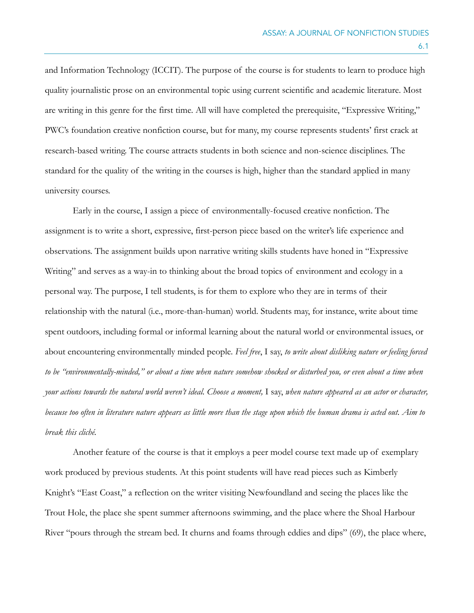and Information Technology (ICCIT). The purpose of the course is for students to learn to produce high quality journalistic prose on an environmental topic using current scientific and academic literature. Most are writing in this genre for the first time. All will have completed the prerequisite, "Expressive Writing," PWC's foundation creative nonfiction course, but for many, my course represents students' first crack at research-based writing. The course attracts students in both science and non-science disciplines. The standard for the quality of the writing in the courses is high, higher than the standard applied in many university courses.

Early in the course, I assign a piece of environmentally-focused creative nonfiction. The assignment is to write a short, expressive, first-person piece based on the writer's life experience and observations. The assignment builds upon narrative writing skills students have honed in "Expressive Writing" and serves as a way-in to thinking about the broad topics of environment and ecology in a personal way. The purpose, I tell students, is for them to explore who they are in terms of their relationship with the natural (i.e., more-than-human) world. Students may, for instance, write about time spent outdoors, including formal or informal learning about the natural world or environmental issues, or about encountering environmentally minded people. *Feel free*, I say, *to write about disliking nature or feeling forced to be "environmentally-minded," or about a time when nature somehow shocked or disturbed you, or even about a time when your actions towards the natural world weren't ideal. Choose a moment,* I say, *when nature appeared as an actor or character, because too often in literature nature appears as little more than the stage upon which the human drama is acted out. Aim to break this cliché.* 

Another feature of the course is that it employs a peer model course text made up of exemplary work produced by previous students. At this point students will have read pieces such as Kimberly Knight's "East Coast," a reflection on the writer visiting Newfoundland and seeing the places like the Trout Hole, the place she spent summer afternoons swimming, and the place where the Shoal Harbour River "pours through the stream bed. It churns and foams through eddies and dips" (69), the place where,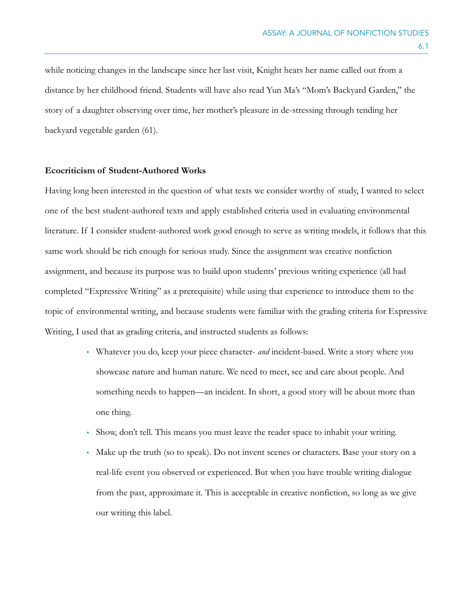while noticing changes in the landscape since her last visit, Knight hears her name called out from a distance by her childhood friend. Students will have also read Yun Ma's "Mom's Backyard Garden," the story of a daughter observing over time, her mother's pleasure in de-stressing through tending her backyard vegetable garden (61).

#### **Ecocriticism of Student-Authored Works**

Having long been interested in the question of what texts we consider worthy of study, I wanted to select one of the best student-authored texts and apply established criteria used in evaluating environmental literature. If I consider student-authored work good enough to serve as writing models, it follows that this same work should be rich enough for serious study. Since the assignment was creative nonfiction assignment, and because its purpose was to build upon students' previous writing experience (all had completed "Expressive Writing" as a prerequisite) while using that experience to introduce them to the topic of environmental writing, and because students were familiar with the grading criteria for Expressive Writing, I used that as grading criteria, and instructed students as follows:

- Whatever you do, keep your piece character- *and* incident-based. Write a story where you showcase nature and human nature. We need to meet, see and care about people. And something needs to happen—an incident. In short, a good story will be about more than one thing.
- Show, don't tell. This means you must leave the reader space to inhabit your writing.
- Make up the truth (so to speak). Do not invent scenes or characters. Base your story on a real-life event you observed or experienced. But when you have trouble writing dialogue from the past, approximate it. This is acceptable in creative nonfiction, so long as we give our writing this label.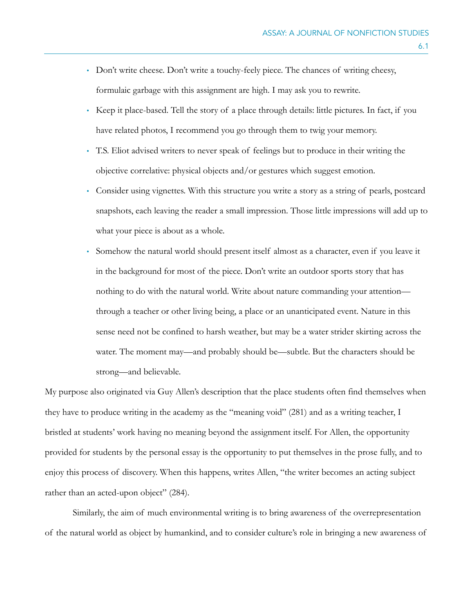- Don't write cheese. Don't write a touchy-feely piece. The chances of writing cheesy, formulaic garbage with this assignment are high. I may ask you to rewrite.
- Keep it place-based. Tell the story of a place through details: little pictures. In fact, if you have related photos, I recommend you go through them to twig your memory.
- T.S. Eliot advised writers to never speak of feelings but to produce in their writing the objective correlative: physical objects and/or gestures which suggest emotion.
- Consider using vignettes. With this structure you write a story as a string of pearls, postcard snapshots, each leaving the reader a small impression. Those little impressions will add up to what your piece is about as a whole.
- Somehow the natural world should present itself almost as a character, even if you leave it in the background for most of the piece. Don't write an outdoor sports story that has nothing to do with the natural world. Write about nature commanding your attention through a teacher or other living being, a place or an unanticipated event. Nature in this sense need not be confined to harsh weather, but may be a water strider skirting across the water. The moment may—and probably should be—subtle. But the characters should be strong—and believable.

My purpose also originated via Guy Allen's description that the place students often find themselves when they have to produce writing in the academy as the "meaning void" (281) and as a writing teacher, I bristled at students' work having no meaning beyond the assignment itself. For Allen, the opportunity provided for students by the personal essay is the opportunity to put themselves in the prose fully, and to enjoy this process of discovery. When this happens, writes Allen, "the writer becomes an acting subject rather than an acted-upon object" (284).

 Similarly, the aim of much environmental writing is to bring awareness of the overrepresentation of the natural world as object by humankind, and to consider culture's role in bringing a new awareness of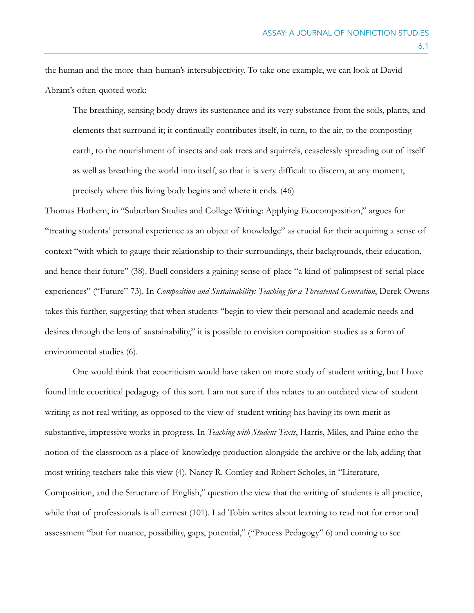the human and the more-than-human's intersubjectivity. To take one example, we can look at David Abram's often-quoted work:

The breathing, sensing body draws its sustenance and its very substance from the soils, plants, and elements that surround it; it continually contributes itself, in turn, to the air, to the composting earth, to the nourishment of insects and oak trees and squirrels, ceaselessly spreading out of itself as well as breathing the world into itself, so that it is very difficult to discern, at any moment, precisely where this living body begins and where it ends. (46)

Thomas Hothem, in "Suburban Studies and College Writing: Applying Ecocomposition," argues for "treating students' personal experience as an object of knowledge" as crucial for their acquiring a sense of context "with which to gauge their relationship to their surroundings, their backgrounds, their education, and hence their future" (38). Buell considers a gaining sense of place "a kind of palimpsest of serial placeexperiences" ("Future" 73). In *Composition and Sustainability: Teaching for a Threatened Generation*, Derek Owens takes this further, suggesting that when students "begin to view their personal and academic needs and desires through the lens of sustainability," it is possible to envision composition studies as a form of environmental studies (6).

One would think that ecocriticism would have taken on more study of student writing, but I have found little ecocritical pedagogy of this sort. I am not sure if this relates to an outdated view of student writing as not real writing, as opposed to the view of student writing has having its own merit as substantive, impressive works in progress. In *Teaching with Student Texts*, Harris, Miles, and Paine echo the notion of the classroom as a place of knowledge production alongside the archive or the lab, adding that most writing teachers take this view (4). Nancy R. Comley and Robert Scholes, in "Literature, Composition, and the Structure of English," question the view that the writing of students is all practice, while that of professionals is all earnest (101). Lad Tobin writes about learning to read not for error and assessment "but for nuance, possibility, gaps, potential," ("Process Pedagogy" 6) and coming to see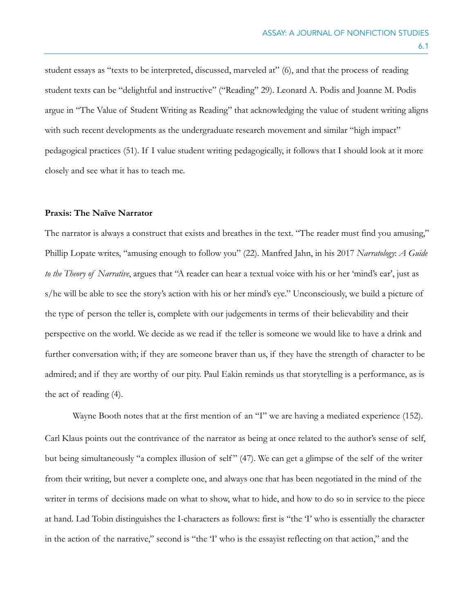student essays as "texts to be interpreted, discussed, marveled at" (6), and that the process of reading student texts can be "delightful and instructive" ("Reading" 29). Leonard A. Podis and Joanne M. Podis argue in "The Value of Student Writing as Reading" that acknowledging the value of student writing aligns with such recent developments as the undergraduate research movement and similar "high impact" pedagogical practices (51). If I value student writing pedagogically, it follows that I should look at it more closely and see what it has to teach me.

#### **Praxis: The Naïve Narrator**

The narrator is always a construct that exists and breathes in the text. "The reader must find you amusing," Phillip Lopate writes, "amusing enough to follow you" (22). Manfred Jahn, in his 2017 *Narratology*: *A Guide to the Theory of Narrative*, argues that "A reader can hear a textual voice with his or her 'mind's ear', just as s/he will be able to see the story's action with his or her mind's eye." Unconsciously, we build a picture of the type of person the teller is, complete with our judgements in terms of their believability and their perspective on the world. We decide as we read if the teller is someone we would like to have a drink and further conversation with; if they are someone braver than us, if they have the strength of character to be admired; and if they are worthy of our pity. Paul Eakin reminds us that storytelling is a performance, as is the act of reading (4).

Wayne Booth notes that at the first mention of an "I" we are having a mediated experience (152). Carl Klaus points out the contrivance of the narrator as being at once related to the author's sense of self, but being simultaneously "a complex illusion of self " (47). We can get a glimpse of the self of the writer from their writing, but never a complete one, and always one that has been negotiated in the mind of the writer in terms of decisions made on what to show, what to hide, and how to do so in service to the piece at hand. Lad Tobin distinguishes the I-characters as follows: first is "the 'I' who is essentially the character in the action of the narrative," second is "the 'I' who is the essayist reflecting on that action," and the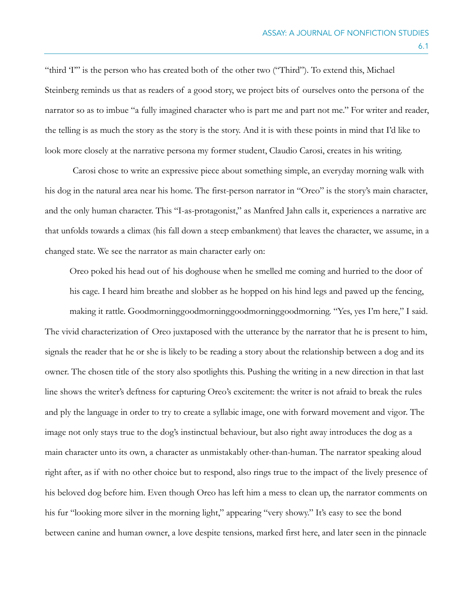"third 'I'" is the person who has created both of the other two ("Third"). To extend this, Michael Steinberg reminds us that as readers of a good story, we project bits of ourselves onto the persona of the narrator so as to imbue "a fully imagined character who is part me and part not me." For writer and reader, the telling is as much the story as the story is the story. And it is with these points in mind that I'd like to look more closely at the narrative persona my former student, Claudio Carosi, creates in his writing.

Carosi chose to write an expressive piece about something simple, an everyday morning walk with his dog in the natural area near his home. The first-person narrator in "Oreo" is the story's main character, and the only human character. This "I-as-protagonist," as Manfred Jahn calls it, experiences a narrative arc that unfolds towards a climax (his fall down a steep embankment) that leaves the character, we assume, in a changed state. We see the narrator as main character early on:

Oreo poked his head out of his doghouse when he smelled me coming and hurried to the door of his cage. I heard him breathe and slobber as he hopped on his hind legs and pawed up the fencing, making it rattle. Goodmorninggoodmorninggoodmorninggoodmorning. "Yes, yes I'm here," I said.

The vivid characterization of Oreo juxtaposed with the utterance by the narrator that he is present to him, signals the reader that he or she is likely to be reading a story about the relationship between a dog and its owner. The chosen title of the story also spotlights this. Pushing the writing in a new direction in that last line shows the writer's deftness for capturing Oreo's excitement: the writer is not afraid to break the rules and ply the language in order to try to create a syllabic image, one with forward movement and vigor. The image not only stays true to the dog's instinctual behaviour, but also right away introduces the dog as a main character unto its own, a character as unmistakably other-than-human. The narrator speaking aloud right after, as if with no other choice but to respond, also rings true to the impact of the lively presence of his beloved dog before him. Even though Oreo has left him a mess to clean up, the narrator comments on his fur "looking more silver in the morning light," appearing "very showy." It's easy to see the bond between canine and human owner, a love despite tensions, marked first here, and later seen in the pinnacle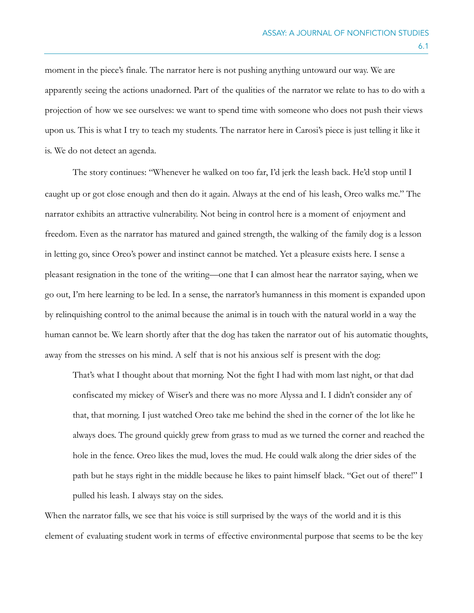moment in the piece's finale. The narrator here is not pushing anything untoward our way. We are apparently seeing the actions unadorned. Part of the qualities of the narrator we relate to has to do with a projection of how we see ourselves: we want to spend time with someone who does not push their views upon us. This is what I try to teach my students. The narrator here in Carosi's piece is just telling it like it is. We do not detect an agenda.

The story continues: "Whenever he walked on too far, I'd jerk the leash back. He'd stop until I caught up or got close enough and then do it again. Always at the end of his leash, Oreo walks me." The narrator exhibits an attractive vulnerability. Not being in control here is a moment of enjoyment and freedom. Even as the narrator has matured and gained strength, the walking of the family dog is a lesson in letting go, since Oreo's power and instinct cannot be matched. Yet a pleasure exists here. I sense a pleasant resignation in the tone of the writing—one that I can almost hear the narrator saying, when we go out, I'm here learning to be led. In a sense, the narrator's humanness in this moment is expanded upon by relinquishing control to the animal because the animal is in touch with the natural world in a way the human cannot be. We learn shortly after that the dog has taken the narrator out of his automatic thoughts, away from the stresses on his mind. A self that is not his anxious self is present with the dog:

That's what I thought about that morning. Not the fight I had with mom last night, or that dad confiscated my mickey of Wiser's and there was no more Alyssa and I. I didn't consider any of that, that morning. I just watched Oreo take me behind the shed in the corner of the lot like he always does. The ground quickly grew from grass to mud as we turned the corner and reached the hole in the fence. Oreo likes the mud, loves the mud. He could walk along the drier sides of the path but he stays right in the middle because he likes to paint himself black. "Get out of there!" I pulled his leash. I always stay on the sides.

When the narrator falls, we see that his voice is still surprised by the ways of the world and it is this element of evaluating student work in terms of effective environmental purpose that seems to be the key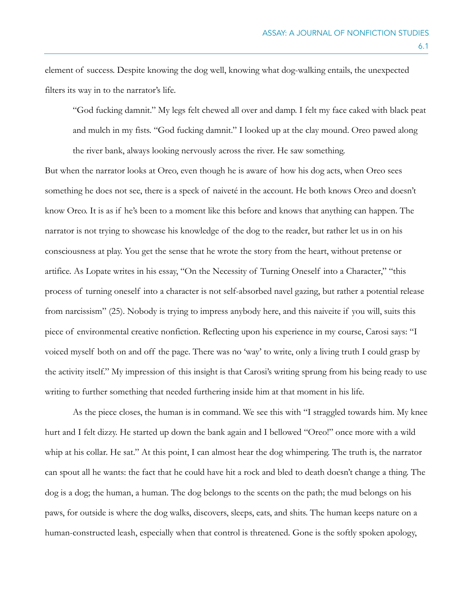element of success. Despite knowing the dog well, knowing what dog-walking entails, the unexpected filters its way in to the narrator's life.

"God fucking damnit." My legs felt chewed all over and damp. I felt my face caked with black peat and mulch in my fists. "God fucking damnit." I looked up at the clay mound. Oreo pawed along the river bank, always looking nervously across the river. He saw something.

But when the narrator looks at Oreo, even though he is aware of how his dog acts, when Oreo sees something he does not see, there is a speck of naiveté in the account. He both knows Oreo and doesn't know Oreo. It is as if he's been to a moment like this before and knows that anything can happen. The narrator is not trying to showcase his knowledge of the dog to the reader, but rather let us in on his consciousness at play. You get the sense that he wrote the story from the heart, without pretense or artifice. As Lopate writes in his essay, "On the Necessity of Turning Oneself into a Character," "this process of turning oneself into a character is not self-absorbed navel gazing, but rather a potential release from narcissism" (25). Nobody is trying to impress anybody here, and this naiveite if you will, suits this piece of environmental creative nonfiction. Reflecting upon his experience in my course, Carosi says: "I voiced myself both on and off the page. There was no 'way' to write, only a living truth I could grasp by the activity itself." My impression of this insight is that Carosi's writing sprung from his being ready to use writing to further something that needed furthering inside him at that moment in his life.

As the piece closes, the human is in command. We see this with "I straggled towards him. My knee hurt and I felt dizzy. He started up down the bank again and I bellowed "Oreo!" once more with a wild whip at his collar. He sat." At this point, I can almost hear the dog whimpering. The truth is, the narrator can spout all he wants: the fact that he could have hit a rock and bled to death doesn't change a thing. The dog is a dog; the human, a human. The dog belongs to the scents on the path; the mud belongs on his paws, for outside is where the dog walks, discovers, sleeps, eats, and shits. The human keeps nature on a human-constructed leash, especially when that control is threatened. Gone is the softly spoken apology,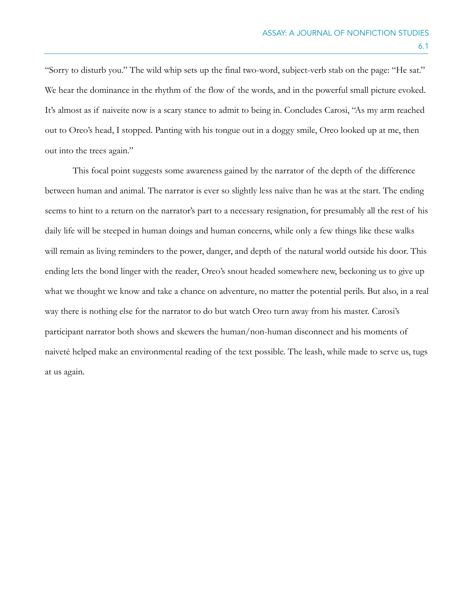"Sorry to disturb you." The wild whip sets up the final two-word, subject-verb stab on the page: "He sat." We hear the dominance in the rhythm of the flow of the words, and in the powerful small picture evoked. It's almost as if naiveite now is a scary stance to admit to being in. Concludes Carosi, "As my arm reached out to Oreo's head, I stopped. Panting with his tongue out in a doggy smile, Oreo looked up at me, then out into the trees again."

This focal point suggests some awareness gained by the narrator of the depth of the difference between human and animal. The narrator is ever so slightly less naïve than he was at the start. The ending seems to hint to a return on the narrator's part to a necessary resignation, for presumably all the rest of his daily life will be steeped in human doings and human concerns, while only a few things like these walks will remain as living reminders to the power, danger, and depth of the natural world outside his door. This ending lets the bond linger with the reader, Oreo's snout headed somewhere new, beckoning us to give up what we thought we know and take a chance on adventure, no matter the potential perils. But also, in a real way there is nothing else for the narrator to do but watch Oreo turn away from his master. Carosi's participant narrator both shows and skewers the human/non-human disconnect and his moments of naiveté helped make an environmental reading of the text possible. The leash, while made to serve us, tugs at us again.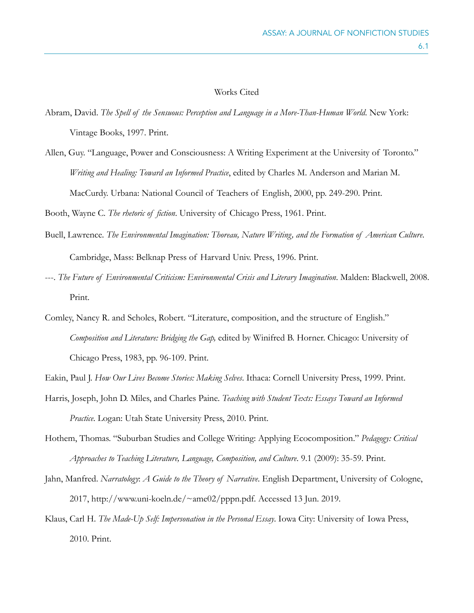#### Works Cited

- Abram, David. *The Spell of the Sensuous: Perception and Language in a More-Than-Human World*. New York: Vintage Books, 1997. Print.
- Allen, Guy. "Language, Power and Consciousness: A Writing Experiment at the University of Toronto." *Writing and Healing: Toward an Informed Practice*, edited by Charles M. Anderson and Marian M. MacCurdy. Urbana: National Council of Teachers of English, 2000, pp. 249-290. Print.

Booth, Wayne C. *The rhetoric of fiction*. University of Chicago Press, 1961. Print.

- Buell, Lawrence. *The Environmental Imagination: Thoreau, Nature Writing, and the Formation of American Culture*. Cambridge, Mass: Belknap Press of Harvard Univ. Press, 1996. Print.
- ---. *The Future of Environmental Criticism: Environmental Crisis and Literary Imagination*. Malden: Blackwell, 2008. Print.
- Comley, Nancy R. and Scholes, Robert. "Literature, composition, and the structure of English." *Composition and Literature: Bridging the Gap,* edited by Winifred B. Horner. Chicago: University of Chicago Press, 1983, pp. 96-109. Print.

- Harris, Joseph, John D. Miles, and Charles Paine. *Teaching with Student Texts: Essays Toward an Informed Practice*. Logan: Utah State University Press, 2010. Print.
- Hothem, Thomas. "Suburban Studies and College Writing: Applying Ecocomposition." *Pedagogy: Critical Approaches to Teaching Literature, Language, Composition, and Culture*. 9.1 (2009): 35-59. Print.
- Jahn, Manfred. *Narratology*: *A Guide to the Theory of Narrative*. English Department, University of Cologne, 2017, http://www.uni-koeln.de/~ame02/pppn.pdf. Accessed 13 Jun. 2019.
- Klaus, Carl H. *The Made-Up Self: Impersonation in the Personal Essay*. Iowa City: University of Iowa Press, 2010. Print.

Eakin, Paul J. *How Our Lives Become Stories: Making Selves*. Ithaca: Cornell University Press, 1999. Print.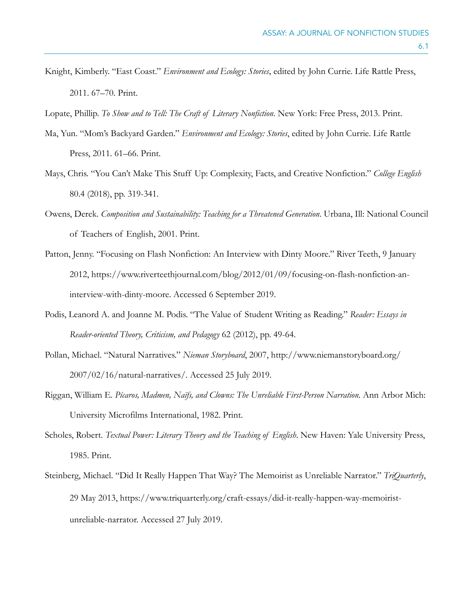- Knight, Kimberly. "East Coast." *Environment and Ecology: Stories*, edited by John Currie. Life Rattle Press, 2011. 67–70. Print.
- Lopate, Phillip. *To Show and to Tell: The Craft of Literary Nonfiction*. New York: Free Press, 2013. Print.
- Ma, Yun. "Mom's Backyard Garden." *Environment and Ecology: Stories*, edited by John Currie. Life Rattle Press, 2011. 61–66. Print.
- Mays, Chris. "You Can't Make This Stuff Up: Complexity, Facts, and Creative Nonfiction." *College English*  80.4 (2018), pp. 319-341.
- Owens, Derek. *Composition and Sustainability: Teaching for a Threatened Generation*. Urbana, Ill: National Council of Teachers of English, 2001. Print.
- Patton, Jenny. "Focusing on Flash Nonfiction: An Interview with Dinty Moore." River Teeth, 9 January 2012, https://www.riverteethjournal.com/blog/2012/01/09/focusing-on-flash-nonfiction-aninterview-with-dinty-moore. Accessed 6 September 2019.
- Podis, Leanord A. and Joanne M. Podis. "The Value of Student Writing as Reading." *Reader: Essays in Reader-oriented Theory, Criticism, and Pedagogy* 62 (2012), pp. 49-64.
- Pollan, Michael. "Natural Narratives." *Nieman Storyboard*, 2007, http://www.niemanstoryboard.org/ 2007/02/16/natural-narratives/. Accessed 25 July 2019.
- Riggan, William E. *Pícaros, Madmen, Naïfs, and Clowns: The Unreliable First-Person Narration*. Ann Arbor Mich: University Microfilms International, 1982. Print.
- Scholes, Robert. *Textual Power: Literary Theory and the Teaching of English*. New Haven: Yale University Press, 1985. Print.
- Steinberg, Michael. "Did It Really Happen That Way? The Memoirist as Unreliable Narrator." *TriQuarterly*, 29 May 2013, https://www.triquarterly.org/craft-essays/did-it-really-happen-way-memoiristunreliable-narrator. Accessed 27 July 2019.